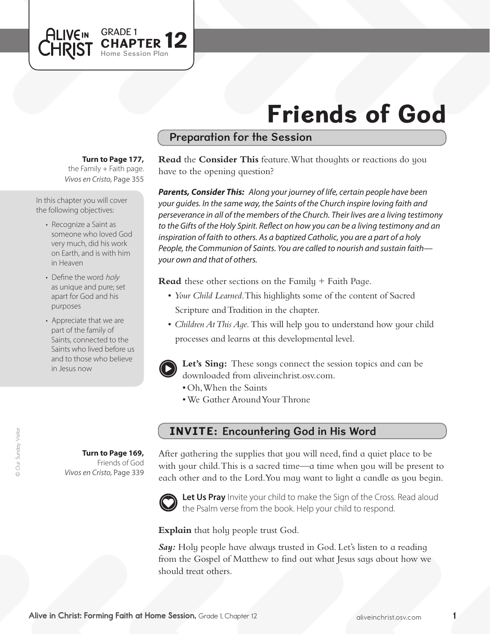# Friends of God

# Preparation for the Session

**Turn to Page 177,** 

GRADE 1<br>CHAPTER 12

Home Session Plan

*Vivos en Cristo,* Page 355 the Family  $+$  Faith page.

In this chapter you will cover the following objectives:

**ALIVEIN** 

- Recognize a Saint as someone who loved God very much, did his work on Earth, and is with him in Heaven
- Define the word holy as unique and pure; set apart for God and his purposes
- Appreciate that we are part of the family of Saints, connected to the Saints who lived before us and to those who believe in Jesus now

**Turn to Page 169,** Friends of God *Vivos en Cristo,* Page 339 **Read** the **Consider This** feature. What thoughts or reactions do you have to the opening question?

*Parents, Consider This: Along your journey of life, certain people have been your guides. In the same way, the Saints of the Church inspire loving faith and perseverance in all of the members of the Church. Their lives are a living testimony to the Gifts of the Holy Spirit. Reflect on how you can be a living testimony and an inspiration of faith to others. As a baptized Catholic, you are a part of a holy People, the Communion of Saints. You are called to nourish and sustain faith your own and that of others.*

**Read** these other sections on the Family + Faith Page.

- *Your Child Learned*. This highlights some of the content of Sacred Scripture and Tradition in the chapter.
- *Children At This Aqe*. This will help you to understand how your child processes and learns at this developmental level.



**Let's Sing:** These songs connect the session topics and can be downloaded from aliveinchrist.osv.com.

- • Oh,When the Saints
- We Gather Around Your Throne

# INVITE: Encountering God in His Word

After gathering the supplies that you will need, find a quiet place to be with your child. This is a sacred time—a time when you will be present to each other and to the Lord.You may want to light a candle as you begin.



Let Us Pray Invite your child to make the Sign of the Cross. Read aloud the Psalm verse from the book. Help your child to respond.

**Explain** that holy people trust God.

**Say:** Holy people have always trusted in God. Let's listen to a reading from the Gospel of Matthew to find out what Jesus says about how we should treat others.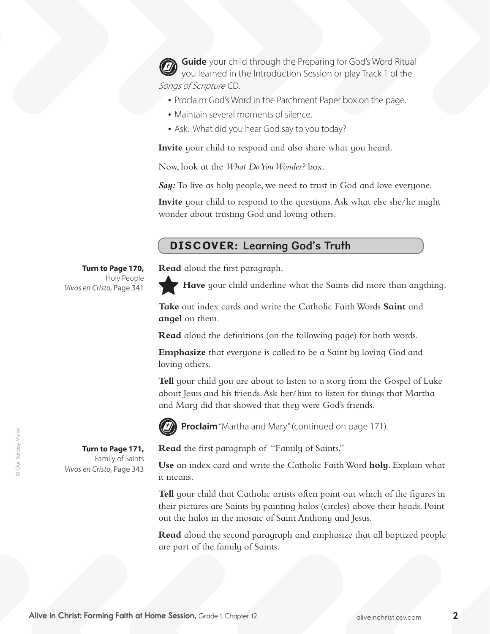**Guide** your child through the Preparing for God's Word Ritual you learned in the Introduction Session or play Track 1 of the Songs of Scripture CD.

- Proclaim God's Word in the Parchment Paper box on the page.
- Maintain several moments of silence.
- Ask: What did you hear God say to you today?

**Invite** your child to respond and also share what you heard.

Now, look at the *What Do You Wonder?* box.

*Say:* To live as holy people, we need to trust in God and love everyone.

**Invite** your child to respond to the questions. Ask what else she/he might wonder about trusting God and loving others.

## DISCOVER: Learning God's Truth

**Read** aloud the first paragraph.

**Have** your child underline what the Saints did more than anything.

**Take** out index cards and write the Catholic Faith Words **Saint** and **angel** on them.

**Read** aloud the definitions (on the following page) for both words.

**Emphasize** that everyone is called to be a Saint by loving God and loving others.

**Tell** your child you are about to listen to a story from the Gospel of Luke about Jesus and his friends.Ask her/him to listen for things that Martha and Mary did that showed that they were God's friends.



**Proclaim** "Martha and Mary" (continued on page 171).



**Turn to Page 171,**  Family of Saints *Vivos en Cristo,* Page 343

**Turn to Page 170,** Holy People

*Vivos en Cristo,* Page 341

**Read** the first paragraph of "Family of Saints."

**Use** an index card and write the Catholic Faith Word **holy**. Explain what it means.

**Tell** your child that Catholic artists often point out which of the figures in their pictures are Saints by painting halos (circles) above their heads. Point out the halos in the mosaic of Saint Anthony and Jesus.

**Read** aloud the second paragraph and emphasize that all baptized people are part of the family of Saints.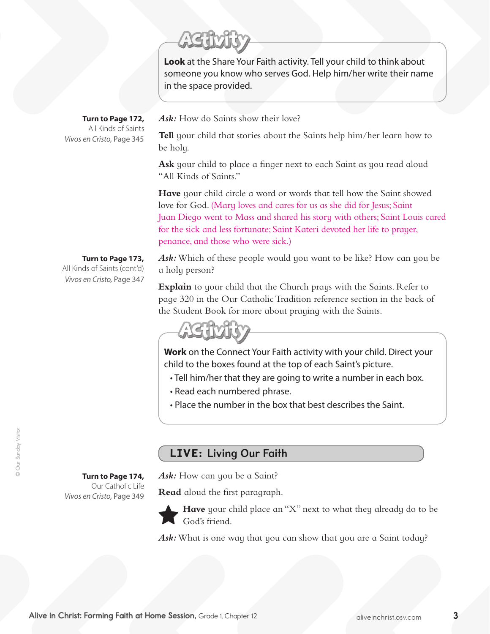**Look** at the Share Your Faith activity. Tell your child to think about someone you know who serves God. Help him/her write their name in the space provided.

*Ask:* How do Saints show their love?

**Tell** your child that stories about the Saints help him/her learn how to be holy.

**Ask** your child to place a finger next to each Saint as you read aloud "All Kinds of Saints."

**Have** your child circle a word or words that tell how the Saint showed love for God. (Mary loves and cares for us as she did for Jesus; Saint Juan Diego went to Mass and shared his story with others; Saint Louis cared for the sick and less fortunate; Saint Kateri devoted her life to prayer, penance, and those who were sick.)

### **Turn to Page 173,**

**Turn to Page 174,**  Our Catholic Life

*Vivos en Cristo,* Page 349

**Turn to Page 172,** All Kinds of Saints

*Vivos en Cristo,* Page 345

All Kinds of Saints (cont'd) *Vivos en Cristo,* Page 347 *Ask:*Which of these people would you want to be like? How can you be a holy person?

**Explain** to your child that the Church prays with the Saints. Refer to page 320 in the Our Catholic Tradition reference section in the back of the Student Book for more about praying with the Saints.



**Work** on the Connect Your Faith activity with your child. Direct your child to the boxes found at the top of each Saint's picture.

- Tell him/her that they are going to write a number in each box.
- Read each numbered phrase.
- Place the number in the box that best describes the Saint.

# LIVE: Living Our Faith

*Ask:* How can you be a Saint?

**Read** aloud the first paragraph.



**Have** your child place an "X" next to what they already do to be God's friend.

Ask: What is one way that you can show that you are a Saint today?

© Our Sunday Visitor © Our Sunday Visitor